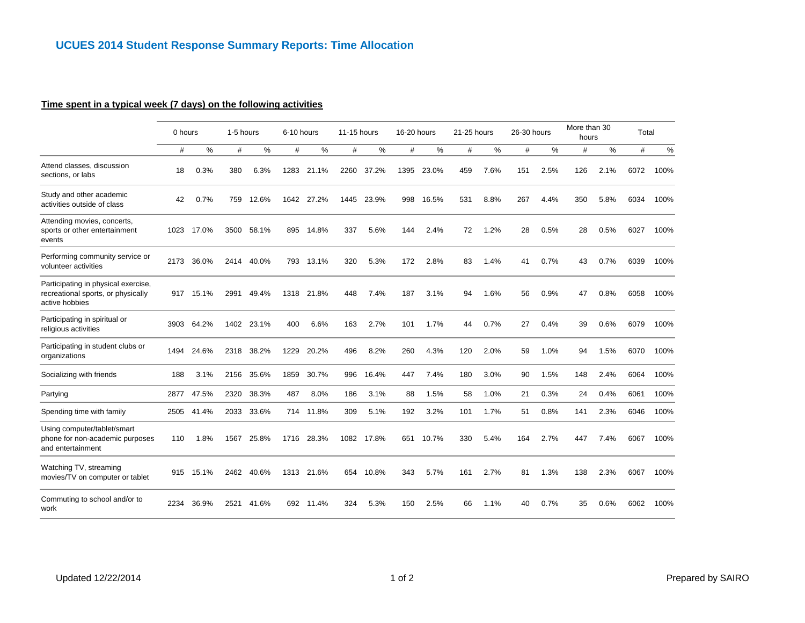### **Time spent in a typical week (7 days) on the following activities**

|                                                                                             | 0 hours |       | 1-5 hours |       | 6-10 hours |           | 11-15 hours |       | 16-20 hours |       | 21-25 hours |      | 26-30 hours |      | More than 30<br>hours |               | Total |      |
|---------------------------------------------------------------------------------------------|---------|-------|-----------|-------|------------|-----------|-------------|-------|-------------|-------|-------------|------|-------------|------|-----------------------|---------------|-------|------|
|                                                                                             | #       | %     | #         | %     | #          | %         | #           | $\%$  | #           | %     | #           | $\%$ | #           | %    | #                     | $\frac{9}{6}$ | #     | %    |
| Attend classes, discussion<br>sections, or labs                                             | 18      | 0.3%  | 380       | 6.3%  | 1283       | 21.1%     | 2260        | 37.2% | 1395        | 23.0% | 459         | 7.6% | 151         | 2.5% | 126                   | 2.1%          | 6072  | 100% |
| Study and other academic<br>activities outside of class                                     | 42      | 0.7%  | 759       | 12.6% | 1642       | 27.2%     | 1445        | 23.9% | 998         | 16.5% | 531         | 8.8% | 267         | 4.4% | 350                   | 5.8%          | 6034  | 100% |
| Attending movies, concerts,<br>sports or other entertainment<br>events                      | 1023    | 17.0% | 3500      | 58.1% | 895        | 14.8%     | 337         | 5.6%  | 144         | 2.4%  | 72          | 1.2% | 28          | 0.5% | 28                    | 0.5%          | 6027  | 100% |
| Performing community service or<br>volunteer activities                                     | 2173    | 36.0% | 2414      | 40.0% | 793        | 13.1%     | 320         | 5.3%  | 172         | 2.8%  | 83          | 1.4% | 41          | 0.7% | 43                    | 0.7%          | 6039  | 100% |
| Participating in physical exercise,<br>recreational sports, or physically<br>active hobbies | 917     | 15.1% | 2991      | 49.4% | 1318       | 21.8%     | 448         | 7.4%  | 187         | 3.1%  | 94          | 1.6% | 56          | 0.9% | 47                    | 0.8%          | 6058  | 100% |
| Participating in spiritual or<br>religious activities                                       | 3903    | 64.2% | 1402      | 23.1% | 400        | 6.6%      | 163         | 2.7%  | 101         | 1.7%  | 44          | 0.7% | 27          | 0.4% | 39                    | 0.6%          | 6079  | 100% |
| Participating in student clubs or<br>organizations                                          | 1494    | 24.6% | 2318      | 38.2% | 1229       | 20.2%     | 496         | 8.2%  | 260         | 4.3%  | 120         | 2.0% | 59          | 1.0% | 94                    | 1.5%          | 6070  | 100% |
| Socializing with friends                                                                    | 188     | 3.1%  | 2156      | 35.6% | 1859       | 30.7%     | 996         | 16.4% | 447         | 7.4%  | 180         | 3.0% | 90          | 1.5% | 148                   | 2.4%          | 6064  | 100% |
| Partying                                                                                    | 2877    | 47.5% | 2320      | 38.3% | 487        | 8.0%      | 186         | 3.1%  | 88          | 1.5%  | 58          | 1.0% | 21          | 0.3% | 24                    | 0.4%          | 6061  | 100% |
| Spending time with family                                                                   | 2505    | 41.4% | 2033      | 33.6% |            | 714 11.8% | 309         | 5.1%  | 192         | 3.2%  | 101         | 1.7% | 51          | 0.8% | 141                   | 2.3%          | 6046  | 100% |
| Using computer/tablet/smart<br>phone for non-academic purposes<br>and entertainment         | 110     | 1.8%  | 1567      | 25.8% | 1716       | 28.3%     | 1082        | 17.8% | 651         | 10.7% | 330         | 5.4% | 164         | 2.7% | 447                   | 7.4%          | 6067  | 100% |
| Watching TV, streaming<br>movies/TV on computer or tablet                                   | 915     | 15.1% | 2462      | 40.6% | 1313       | 21.6%     | 654         | 10.8% | 343         | 5.7%  | 161         | 2.7% | 81          | 1.3% | 138                   | 2.3%          | 6067  | 100% |
| Commuting to school and/or to<br>work                                                       | 2234    | 36.9% | 2521      | 41.6% | 692        | 11.4%     | 324         | 5.3%  | 150         | 2.5%  | 66          | 1.1% | 40          | 0.7% | 35                    | 0.6%          | 6062  | 100% |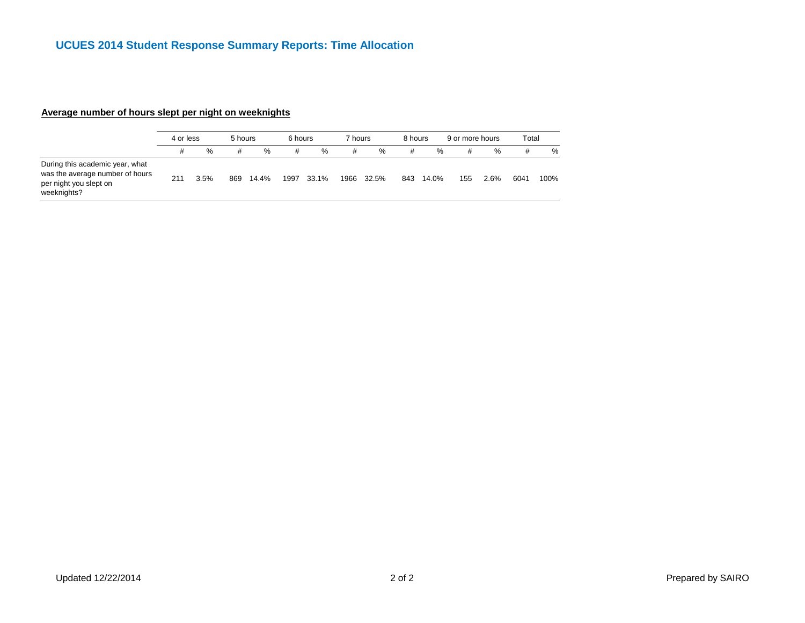### **Average number of hours slept per night on weeknights**

|                                                                                                             | 4 or less |      | 5 hours |               | 6 hours |       | 7 hours |       | 8 hours |       | 9 or more hours |      | Total |      |
|-------------------------------------------------------------------------------------------------------------|-----------|------|---------|---------------|---------|-------|---------|-------|---------|-------|-----------------|------|-------|------|
|                                                                                                             | #         | %    | #       | $\frac{9}{6}$ | #       | $\%$  | #       | %     | #       | %     |                 | %    | #     | $\%$ |
| During this academic year, what<br>was the average number of hours<br>per night you slept on<br>weeknights? | 211       | 3.5% | 869     | 14.4%         | 1997    | 33.1% | 1966    | 32.5% | 843     | 14.0% | 155             | 2.6% | 6041  | 100% |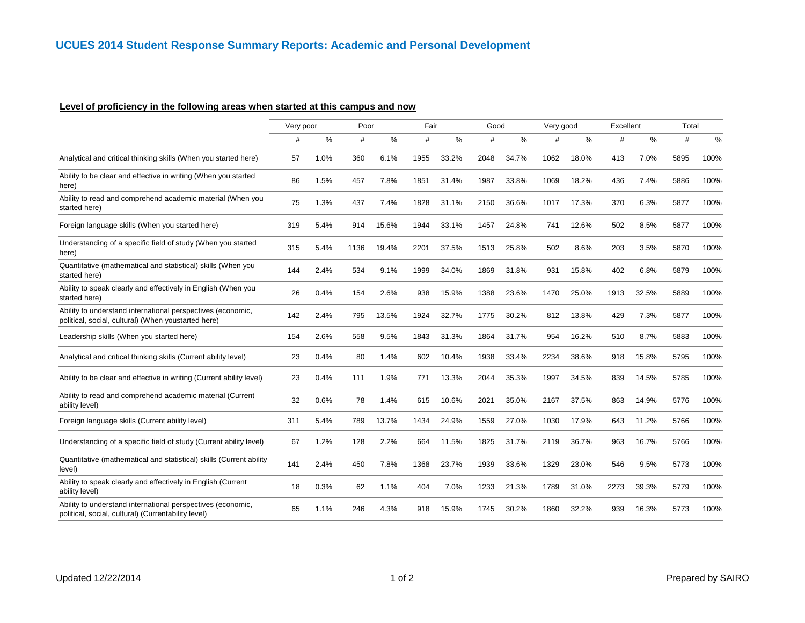## **Level of proficiency in the following areas when started at this campus and now**

|                                                                                                                    | Very poor |      | Poor |       | Fair |       | Good |       | Very good |       | Excellent |       | Total |      |
|--------------------------------------------------------------------------------------------------------------------|-----------|------|------|-------|------|-------|------|-------|-----------|-------|-----------|-------|-------|------|
|                                                                                                                    | #         | %    | #    | %     | #    | ℅     | #    | %     | #         | %     | #         | %     | #     | $\%$ |
| Analytical and critical thinking skills (When you started here)                                                    | 57        | 1.0% | 360  | 6.1%  | 1955 | 33.2% | 2048 | 34.7% | 1062      | 18.0% | 413       | 7.0%  | 5895  | 100% |
| Ability to be clear and effective in writing (When you started<br>here)                                            | 86        | 1.5% | 457  | 7.8%  | 1851 | 31.4% | 1987 | 33.8% | 1069      | 18.2% | 436       | 7.4%  | 5886  | 100% |
| Ability to read and comprehend academic material (When you<br>started here)                                        | 75        | 1.3% | 437  | 7.4%  | 1828 | 31.1% | 2150 | 36.6% | 1017      | 17.3% | 370       | 6.3%  | 5877  | 100% |
| Foreign language skills (When you started here)                                                                    | 319       | 5.4% | 914  | 15.6% | 1944 | 33.1% | 1457 | 24.8% | 741       | 12.6% | 502       | 8.5%  | 5877  | 100% |
| Understanding of a specific field of study (When you started<br>here)                                              | 315       | 5.4% | 1136 | 19.4% | 2201 | 37.5% | 1513 | 25.8% | 502       | 8.6%  | 203       | 3.5%  | 5870  | 100% |
| Quantitative (mathematical and statistical) skills (When you<br>started here)                                      | 144       | 2.4% | 534  | 9.1%  | 1999 | 34.0% | 1869 | 31.8% | 931       | 15.8% | 402       | 6.8%  | 5879  | 100% |
| Ability to speak clearly and effectively in English (When you<br>started here)                                     | 26        | 0.4% | 154  | 2.6%  | 938  | 15.9% | 1388 | 23.6% | 1470      | 25.0% | 1913      | 32.5% | 5889  | 100% |
| Ability to understand international perspectives (economic,<br>political, social, cultural) (When youstarted here) | 142       | 2.4% | 795  | 13.5% | 1924 | 32.7% | 1775 | 30.2% | 812       | 13.8% | 429       | 7.3%  | 5877  | 100% |
| Leadership skills (When you started here)                                                                          | 154       | 2.6% | 558  | 9.5%  | 1843 | 31.3% | 1864 | 31.7% | 954       | 16.2% | 510       | 8.7%  | 5883  | 100% |
| Analytical and critical thinking skills (Current ability level)                                                    | 23        | 0.4% | 80   | 1.4%  | 602  | 10.4% | 1938 | 33.4% | 2234      | 38.6% | 918       | 15.8% | 5795  | 100% |
| Ability to be clear and effective in writing (Current ability level)                                               | 23        | 0.4% | 111  | 1.9%  | 771  | 13.3% | 2044 | 35.3% | 1997      | 34.5% | 839       | 14.5% | 5785  | 100% |
| Ability to read and comprehend academic material (Current<br>ability level)                                        | 32        | 0.6% | 78   | 1.4%  | 615  | 10.6% | 2021 | 35.0% | 2167      | 37.5% | 863       | 14.9% | 5776  | 100% |
| Foreign language skills (Current ability level)                                                                    | 311       | 5.4% | 789  | 13.7% | 1434 | 24.9% | 1559 | 27.0% | 1030      | 17.9% | 643       | 11.2% | 5766  | 100% |
| Understanding of a specific field of study (Current ability level)                                                 | 67        | 1.2% | 128  | 2.2%  | 664  | 11.5% | 1825 | 31.7% | 2119      | 36.7% | 963       | 16.7% | 5766  | 100% |
| Quantitative (mathematical and statistical) skills (Current ability<br>level)                                      | 141       | 2.4% | 450  | 7.8%  | 1368 | 23.7% | 1939 | 33.6% | 1329      | 23.0% | 546       | 9.5%  | 5773  | 100% |
| Ability to speak clearly and effectively in English (Current<br>ability level)                                     | 18        | 0.3% | 62   | 1.1%  | 404  | 7.0%  | 1233 | 21.3% | 1789      | 31.0% | 2273      | 39.3% | 5779  | 100% |
| Ability to understand international perspectives (economic,<br>political, social, cultural) (Currentability level) | 65        | 1.1% | 246  | 4.3%  | 918  | 15.9% | 1745 | 30.2% | 1860      | 32.2% | 939       | 16.3% | 5773  | 100% |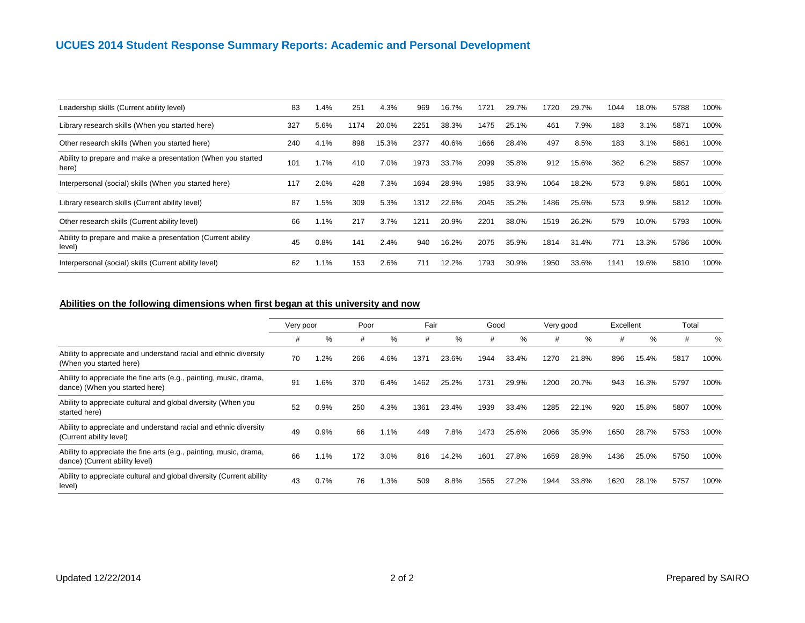# **UCUES 2014 Student Response Summary Reports: Academic and Personal Development**

| Leadership skills (Current ability level)                             | 83  | .4%    | 251  | 4.3%  | 969  | 16.7% | 1721 | 29.7% | 1720 | 29.7% | 1044 | 18.0%   | 5788 | 100% |
|-----------------------------------------------------------------------|-----|--------|------|-------|------|-------|------|-------|------|-------|------|---------|------|------|
| Library research skills (When you started here)                       | 327 | 5.6%   | 1174 | 20.0% | 2251 | 38.3% | 1475 | 25.1% | 461  | 7.9%  | 183  | 3.1%    | 5871 | 100% |
| Other research skills (When you started here)                         | 240 | 4.1%   | 898  | 15.3% | 2377 | 40.6% | 1666 | 28.4% | 497  | 8.5%  | 183  | 3.1%    | 5861 | 100% |
| Ability to prepare and make a presentation (When you started<br>here) | 101 | .7%    | 410  | 7.0%  | 1973 | 33.7% | 2099 | 35.8% | 912  | 15.6% | 362  | 6.2%    | 5857 | 100% |
| Interpersonal (social) skills (When you started here)                 | 117 | 2.0%   | 428  | 7.3%  | 1694 | 28.9% | 1985 | 33.9% | 1064 | 18.2% | 573  | 9.8%    | 5861 | 100% |
| Library research skills (Current ability level)                       | 87  | 1.5%   | 309  | 5.3%  | 1312 | 22.6% | 2045 | 35.2% | 1486 | 25.6% | 573  | $9.9\%$ | 5812 | 100% |
| Other research skills (Current ability level)                         | 66  | 1.1%   | 217  | 3.7%  | 121  | 20.9% | 2201 | 38.0% | 1519 | 26.2% | 579  | 10.0%   | 5793 | 100% |
| Ability to prepare and make a presentation (Current ability<br>level) | 45  | 0.8%   | 141  | 2.4%  | 940  | 16.2% | 2075 | 35.9% | 1814 | 31.4% | 771  | 13.3%   | 5786 | 100% |
| Interpersonal (social) skills (Current ability level)                 | 62  | $.1\%$ | 153  | 2.6%  | 711  | 12.2% | 1793 | 30.9% | 1950 | 33.6% | 1141 | 19.6%   | 5810 | 100% |

### **Abilities on the following dimensions when first began at this university and now**

|                                                                                                      | Very poor |      | Poor |         | Fair |       | Good |       | Very good |       | Excellent |       | Total |      |
|------------------------------------------------------------------------------------------------------|-----------|------|------|---------|------|-------|------|-------|-----------|-------|-----------|-------|-------|------|
|                                                                                                      | #         | ℅    | #    | %       | #    | %     | #    | %     | #         | %     | #         | %     | #     | $\%$ |
| Ability to appreciate and understand racial and ethnic diversity<br>(When you started here)          | 70        | .2%  | 266  | 4.6%    | 1371 | 23.6% | 1944 | 33.4% | 1270      | 21.8% | 896       | 15.4% | 5817  | 100% |
| Ability to appreciate the fine arts (e.g., painting, music, drama,<br>dance) (When you started here) | 91        | 1.6% | 370  | 6.4%    | 1462 | 25.2% | 1731 | 29.9% | 1200      | 20.7% | 943       | 16.3% | 5797  | 100% |
| Ability to appreciate cultural and global diversity (When you<br>started here)                       | 52        | 0.9% | 250  | 4.3%    | 1361 | 23.4% | 1939 | 33.4% | 1285      | 22.1% | 920       | 15.8% | 5807  | 100% |
| Ability to appreciate and understand racial and ethnic diversity<br>(Current ability level)          | 49        | 0.9% | 66   | 1.1%    | 449  | 7.8%  | 1473 | 25.6% | 2066      | 35.9% | 1650      | 28.7% | 5753  | 100% |
| Ability to appreciate the fine arts (e.g., painting, music, drama,<br>dance) (Current ability level) | 66        | 1.1% | 172  | 3.0%    | 816  | 14.2% | 1601 | 27.8% | 1659      | 28.9% | 1436      | 25.0% | 5750  | 100% |
| Ability to appreciate cultural and global diversity (Current ability<br>level)                       | 43        | 0.7% | 76   | $1.3\%$ | 509  | 8.8%  | 1565 | 27.2% | 1944      | 33.8% | 1620      | 28.1% | 5757  | 100% |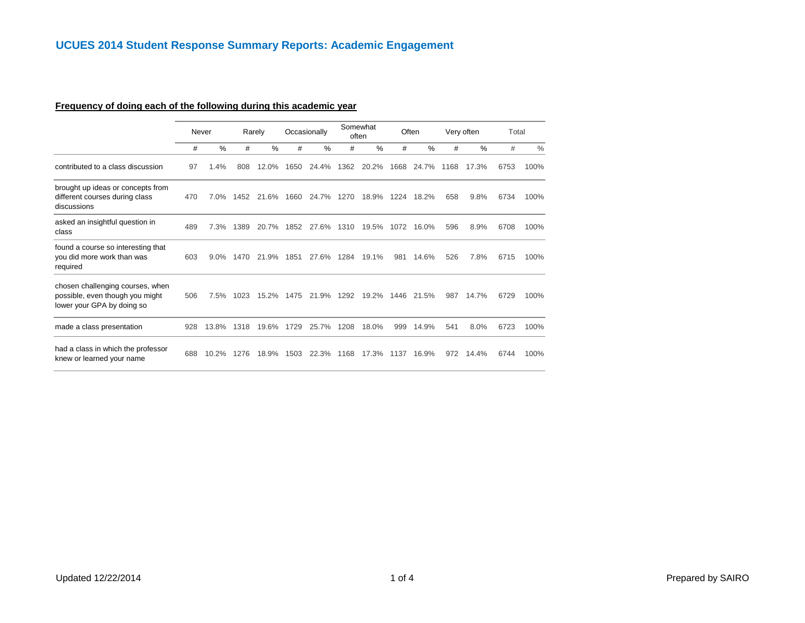#### **Frequency of doing each of the following during this academic year**

|                                                                                                   |     | Never   |      | Rarely |      | Occasionally |      | Somewhat<br>often |      | Often |      | Very often | Total |      |
|---------------------------------------------------------------------------------------------------|-----|---------|------|--------|------|--------------|------|-------------------|------|-------|------|------------|-------|------|
|                                                                                                   | #   | $\%$    | #    | $\%$   | #    | $\%$         | #    | $\%$              | #    | $\%$  | #    | $\%$       | #     | $\%$ |
| contributed to a class discussion                                                                 | 97  | 1.4%    | 808  | 12.0%  | 1650 | 24.4%        | 1362 | 20.2%             | 1668 | 24.7% | 1168 | 17.3%      | 6753  | 100% |
| brought up ideas or concepts from<br>different courses during class<br>discussions                | 470 | 7.0%    | 1452 | 21.6%  | 1660 | 24.7%        | 1270 | 18.9%             | 1224 | 18.2% | 658  | 9.8%       | 6734  | 100% |
| asked an insightful question in<br>class                                                          | 489 | 7.3%    | 1389 | 20.7%  | 1852 | 27.6%        | 1310 | 19.5%             | 1072 | 16.0% | 596  | 8.9%       | 6708  | 100% |
| found a course so interesting that<br>you did more work than was<br>required                      | 603 | $9.0\%$ | 1470 | 21.9%  | 1851 | 27.6%        | 1284 | 19.1%             | 981  | 14.6% | 526  | 7.8%       | 6715  | 100% |
| chosen challenging courses, when<br>possible, even though you might<br>lower your GPA by doing so | 506 | 7.5%    | 1023 | 15.2%  | 1475 | 21.9%        | 1292 | 19.2%             | 1446 | 21.5% | 987  | 14.7%      | 6729  | 100% |
| made a class presentation                                                                         | 928 | 13.8%   | 1318 | 19.6%  | 1729 | 25.7%        | 1208 | 18.0%             | 999  | 14.9% | 541  | 8.0%       | 6723  | 100% |
| had a class in which the professor<br>knew or learned your name                                   | 688 | 10.2%   | 1276 | 18.9%  | 1503 | 22.3%        | 1168 | 17.3%             | 1137 | 16.9% | 972  | 14.4%      | 6744  | 100% |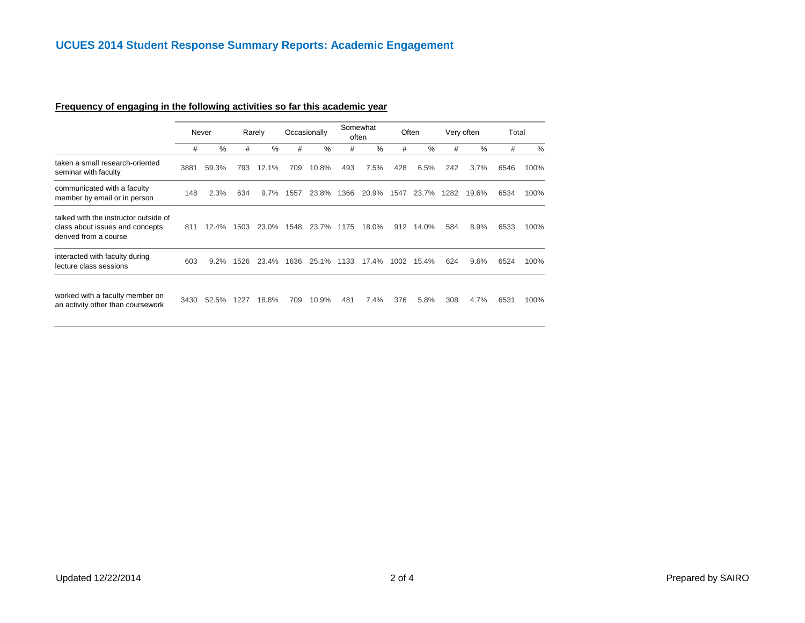## **Frequency of engaging in the following activities so far this academic year**

|                                                                                                   |      |         |      |        |      |              |      | Somewhat      |      |       |      |            |       |               |
|---------------------------------------------------------------------------------------------------|------|---------|------|--------|------|--------------|------|---------------|------|-------|------|------------|-------|---------------|
|                                                                                                   |      | Never   |      | Rarely |      | Occasionally |      | often         |      | Often |      | Very often | Total |               |
|                                                                                                   | #    | $\%$    | #    | $\%$   | #    | %            | #    | $\frac{0}{0}$ | #    | $\%$  | #    | $\%$       | #     | $\frac{0}{0}$ |
| taken a small research-oriented<br>seminar with faculty                                           | 3881 | 59.3%   | 793  | 12.1%  | 709  | 10.8%        | 493  | 7.5%          | 428  | 6.5%  | 242  | 3.7%       | 6546  | 100%          |
| communicated with a faculty<br>member by email or in person                                       | 148  | 2.3%    | 634  | 9.7%   | 1557 | 23.8%        | 1366 | 20.9%         | 1547 | 23.7% | 1282 | 19.6%      | 6534  | 100%          |
| talked with the instructor outside of<br>class about issues and concepts<br>derived from a course | 811  | 12.4%   | 1503 | 23.0%  | 1548 | 23.7%        | 1175 | 18.0%         | 912  | 14.0% | 584  | 8.9%       | 6533  | 100%          |
| interacted with faculty during<br>lecture class sessions                                          | 603  | $9.2\%$ | 1526 | 23.4%  | 1636 | 25.1%        | 1133 | 17.4%         | 1002 | 15.4% | 624  | 9.6%       | 6524  | 100%          |
| worked with a faculty member on<br>an activity other than coursework                              | 3430 | 52.5%   | 1227 | 18.8%  | 709  | 10.9%        | 481  | 7.4%          | 376  | 5.8%  | 308  | 4.7%       | 6531  | 100%          |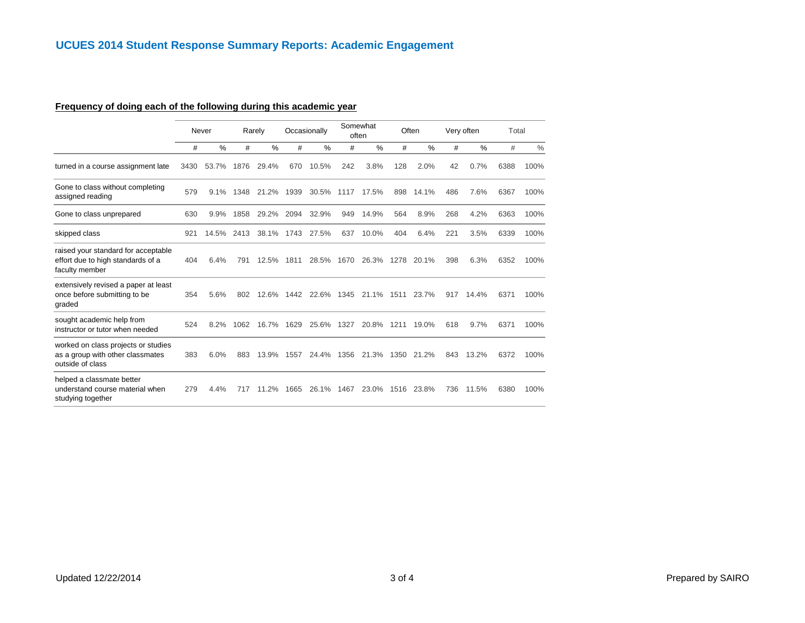## **Frequency of doing each of the following during this academic year**

|                                                                                             |      | Never |      | Rarely |      | Occasionally |      | Somewhat<br>often |      | Often |     | Very often | Total |               |
|---------------------------------------------------------------------------------------------|------|-------|------|--------|------|--------------|------|-------------------|------|-------|-----|------------|-------|---------------|
|                                                                                             | #    | $\%$  | #    | %      | #    | $\%$         | #    | $\frac{0}{0}$     | #    | %     | #   | %          | #     | $\frac{0}{0}$ |
| turned in a course assignment late                                                          | 3430 | 53.7% | 1876 | 29.4%  | 670  | 10.5%        | 242  | 3.8%              | 128  | 2.0%  | 42  | 0.7%       | 6388  | 100%          |
| Gone to class without completing<br>assigned reading                                        | 579  | 9.1%  | 1348 | 21.2%  | 1939 | 30.5%        | 1117 | 17.5%             | 898  | 14.1% | 486 | 7.6%       | 6367  | 100%          |
| Gone to class unprepared                                                                    | 630  | 9.9%  | 1858 | 29.2%  | 2094 | 32.9%        | 949  | 14.9%             | 564  | 8.9%  | 268 | 4.2%       | 6363  | 100%          |
| skipped class                                                                               | 921  | 14.5% | 2413 | 38.1%  | 1743 | 27.5%        | 637  | 10.0%             | 404  | 6.4%  | 221 | 3.5%       | 6339  | 100%          |
| raised your standard for acceptable<br>effort due to high standards of a<br>faculty member  | 404  | 6.4%  | 791  | 12.5%  | 1811 | 28.5%        | 1670 | 26.3%             | 1278 | 20.1% | 398 | 6.3%       | 6352  | 100%          |
| extensively revised a paper at least<br>once before submitting to be<br>graded              | 354  | 5.6%  | 802  | 12.6%  | 1442 | 22.6%        | 1345 | 21.1%             | 1511 | 23.7% | 917 | 14.4%      | 6371  | 100%          |
| sought academic help from<br>instructor or tutor when needed                                | 524  | 8.2%  | 1062 | 16.7%  | 1629 | 25.6%        | 1327 | 20.8%             | 1211 | 19.0% | 618 | 9.7%       | 6371  | 100%          |
| worked on class projects or studies<br>as a group with other classmates<br>outside of class | 383  | 6.0%  | 883  | 13.9%  | 1557 | 24.4%        | 1356 | 21.3%             | 1350 | 21.2% | 843 | 13.2%      | 6372  | 100%          |
| helped a classmate better<br>understand course material when<br>studying together           | 279  | 4.4%  | 717  | 11.2%  | 1665 | 26.1%        | 1467 | 23.0%             | 1516 | 23.8% | 736 | 11.5%      | 6380  | 100%          |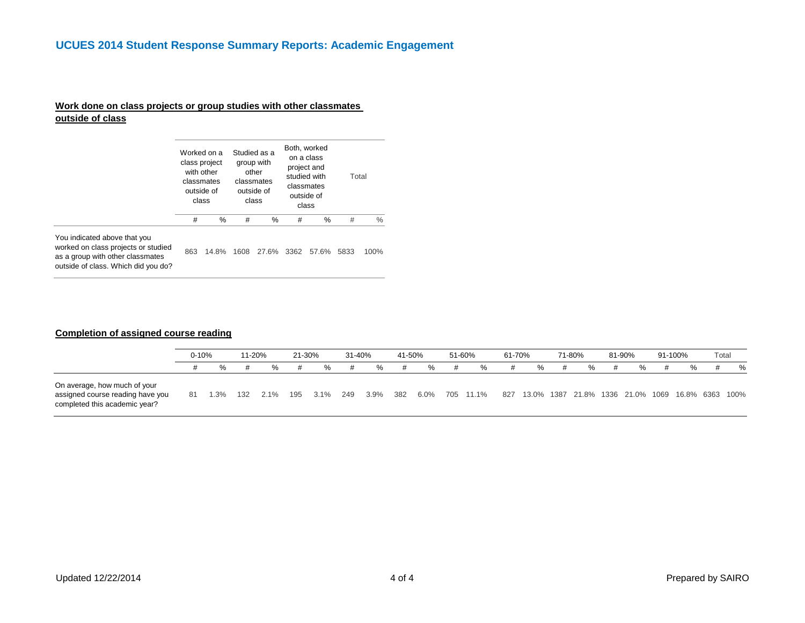#### # % # % # % # % You indicated above that you worked on class projects or studied as a group with other classmates outside of class. Which did you do? 863 14.8% 1608 27.6% 3362 57.6% 5833 100% Worked on a Studied as a class project with other classmates outside of class group with other classmates outside of class Both, worked on a class project and studied with classmates outside of class Total

**Work done on class projects or group studies with other classmates** 

#### **Completion of assigned course reading**

**outside of class**

|                                                                                                   | $0 - 10%$ |         | 11-20% |         | 21-30% |         | 31-40% |         | 41-50% |      | 51-60%    | 61-70% |   | 71-80% | 81-90%                                           | 91-100% | Total |   |
|---------------------------------------------------------------------------------------------------|-----------|---------|--------|---------|--------|---------|--------|---------|--------|------|-----------|--------|---|--------|--------------------------------------------------|---------|-------|---|
|                                                                                                   |           | %       |        | $\%$    |        | %       |        | ℅       | #      | ℅    | %         |        | % | ℅      | ℅                                                |         |       | % |
| On average, how much of your<br>assigned course reading have you<br>completed this academic year? | 81        | $1.3\%$ | 132    | $2.1\%$ | 195    | $3.1\%$ | 249    | $3.9\%$ | 382    | 6.0% | 705 11.1% | 827    |   |        | 13.0% 1387 21.8% 1336 21.0% 1069 16.8% 6363 100% |         |       |   |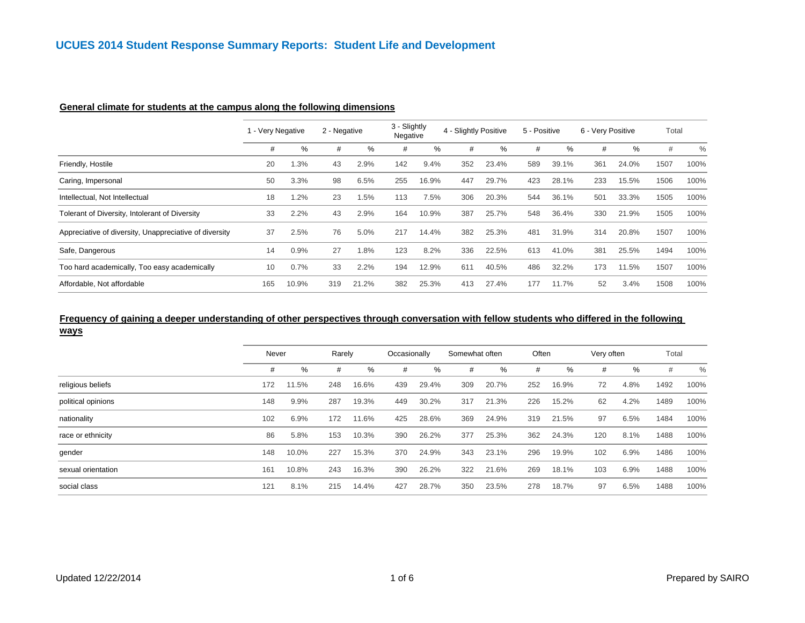| General climate for students at the campus along the following dimensions |  |
|---------------------------------------------------------------------------|--|
|                                                                           |  |

|                                                        | - Very Negative |       | 2 - Negative |        | 3 - Slightly<br>Negative |       | 4 - Slightly Positive |       | 5 - Positive |       | 6 - Very Positive |       | Total |      |
|--------------------------------------------------------|-----------------|-------|--------------|--------|--------------------------|-------|-----------------------|-------|--------------|-------|-------------------|-------|-------|------|
|                                                        | #               | %     | #            | %      | #                        | ℅     | #                     | %     | #            | %     | #                 | %     | #     | $\%$ |
| Friendly, Hostile                                      | 20              | 1.3%  | 43           | 2.9%   | 142                      | 9.4%  | 352                   | 23.4% | 589          | 39.1% | 361               | 24.0% | 1507  | 100% |
| Caring, Impersonal                                     | 50              | 3.3%  | 98           | 6.5%   | 255                      | 16.9% | 447                   | 29.7% | 423          | 28.1% | 233               | 15.5% | 1506  | 100% |
| Intellectual, Not Intellectual                         | 18              | 1.2%  | 23           | 1.5%   | 113                      | 7.5%  | 306                   | 20.3% | 544          | 36.1% | 501               | 33.3% | 1505  | 100% |
| Tolerant of Diversity, Intolerant of Diversity         | 33              | 2.2%  | 43           | 2.9%   | 164                      | 10.9% | 387                   | 25.7% | 548          | 36.4% | 330               | 21.9% | 1505  | 100% |
| Appreciative of diversity, Unappreciative of diversity | 37              | 2.5%  | 76           | 5.0%   | 217                      | 14.4% | 382                   | 25.3% | 481          | 31.9% | 314               | 20.8% | 1507  | 100% |
| Safe, Dangerous                                        | 14              | 0.9%  | 27           | $.8\%$ | 123                      | 8.2%  | 336                   | 22.5% | 613          | 41.0% | 381               | 25.5% | 1494  | 100% |
| Too hard academically, Too easy academically           | 10              | 0.7%  | 33           | 2.2%   | 194                      | 12.9% | 61                    | 40.5% | 486          | 32.2% | 173               | 11.5% | 1507  | 100% |
| Affordable, Not affordable                             | 165             | 10.9% | 319          | 21.2%  | 382                      | 25.3% | 413                   | 27.4% | 177          | 11.7% | 52                | 3.4%  | 1508  | 100% |

# **Frequency of gaining a deeper understanding of other perspectives through conversation with fellow students who differed in the following**

**ways**

|                    | Never |       | Rarely |       | Occasionally |       | Somewhat often |       | Often |       | Very often |      | Total |      |
|--------------------|-------|-------|--------|-------|--------------|-------|----------------|-------|-------|-------|------------|------|-------|------|
|                    | #     | %     | #      | $\%$  | #            | %     | #              | ℅     | #     | $\%$  | #          | %    | #     | $\%$ |
| religious beliefs  | 172   | 11.5% | 248    | 16.6% | 439          | 29.4% | 309            | 20.7% | 252   | 16.9% | 72         | 4.8% | 1492  | 100% |
| political opinions | 148   | 9.9%  | 287    | 19.3% | 449          | 30.2% | 317            | 21.3% | 226   | 15.2% | 62         | 4.2% | 1489  | 100% |
| nationality        | 102   | 6.9%  | 172    | 11.6% | 425          | 28.6% | 369            | 24.9% | 319   | 21.5% | 97         | 6.5% | 1484  | 100% |
| race or ethnicity  | 86    | 5.8%  | 153    | 10.3% | 390          | 26.2% | 377            | 25.3% | 362   | 24.3% | 120        | 8.1% | 1488  | 100% |
| gender             | 148   | 10.0% | 227    | 15.3% | 370          | 24.9% | 343            | 23.1% | 296   | 19.9% | 102        | 6.9% | 1486  | 100% |
| sexual orientation | 161   | 10.8% | 243    | 16.3% | 390          | 26.2% | 322            | 21.6% | 269   | 18.1% | 103        | 6.9% | 1488  | 100% |
| social class       | 121   | 8.1%  | 215    | 14.4% | 427          | 28.7% | 350            | 23.5% | 278   | 18.7% | 97         | 6.5% | 1488  | 100% |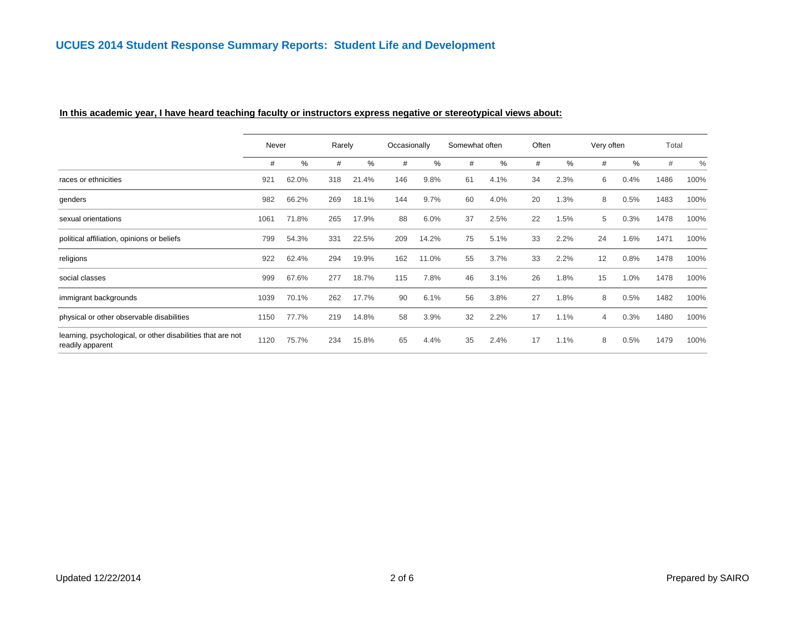#### **In this academic year, I have heard teaching faculty or instructors express negative or stereotypical views about:**

| Never<br># |       |     |        | Occasionally |       |                |      |       |      |            |      |       |      |
|------------|-------|-----|--------|--------------|-------|----------------|------|-------|------|------------|------|-------|------|
|            |       |     | Rarely |              |       | Somewhat often |      | Often |      | Very often |      | Total |      |
|            | $\%$  | #   | %      | #            | $\%$  | #              | %    | #     | %    | #          | $\%$ | #     | $\%$ |
| 921        | 62.0% | 318 | 21.4%  | 146          | 9.8%  | 61             | 4.1% | 34    | 2.3% | 6          | 0.4% | 1486  | 100% |
| 982        | 66.2% | 269 | 18.1%  | 144          | 9.7%  | 60             | 4.0% | 20    | 1.3% | 8          | 0.5% | 1483  | 100% |
| 1061       | 71.8% | 265 | 17.9%  | 88           | 6.0%  | 37             | 2.5% | 22    | 1.5% | 5          | 0.3% | 1478  | 100% |
| 799        | 54.3% | 331 | 22.5%  | 209          | 14.2% | 75             | 5.1% | 33    | 2.2% | 24         | 1.6% | 1471  | 100% |
| 922        | 62.4% | 294 | 19.9%  | 162          | 11.0% | 55             | 3.7% | 33    | 2.2% | 12         | 0.8% | 1478  | 100% |
| 999        | 67.6% | 277 | 18.7%  | 115          | 7.8%  | 46             | 3.1% | 26    | 1.8% | 15         | 1.0% | 1478  | 100% |
| 1039       | 70.1% | 262 | 17.7%  | 90           | 6.1%  | 56             | 3.8% | 27    | 1.8% | 8          | 0.5% | 1482  | 100% |
| 1150       | 77.7% | 219 | 14.8%  | 58           | 3.9%  | 32             | 2.2% | 17    | 1.1% | 4          | 0.3% | 1480  | 100% |
| 1120       | 75.7% | 234 | 15.8%  | 65           | 4.4%  | 35             | 2.4% | 17    | 1.1% | 8          | 0.5% | 1479  | 100% |
|            |       |     |        |              |       |                |      |       |      |            |      |       |      |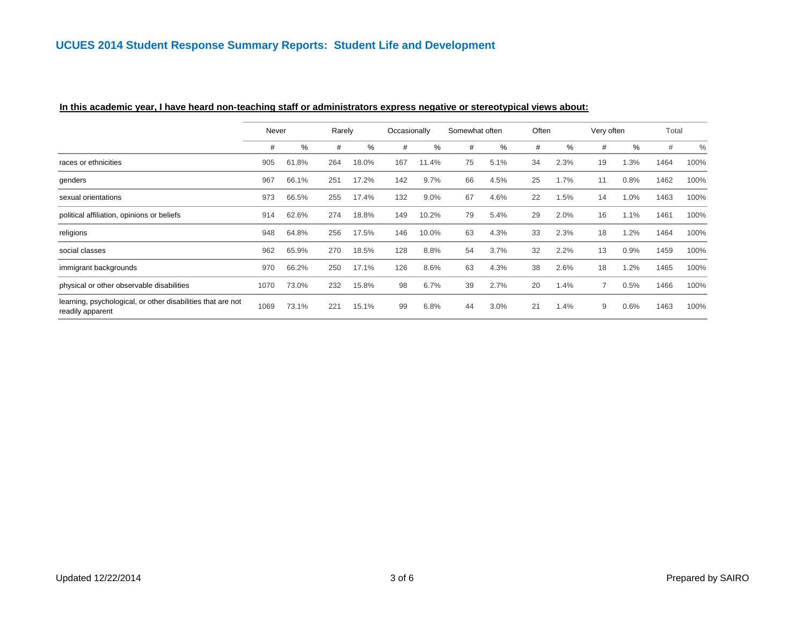|                                                                                 | Never |           | Rarely |       | Occasionally |       | Somewhat often |      | Often |      | Very often |      | Total |      |
|---------------------------------------------------------------------------------|-------|-----------|--------|-------|--------------|-------|----------------|------|-------|------|------------|------|-------|------|
|                                                                                 | #     | %         | #      | %     | #            | %     | #              | %    | #     | %    | #          | %    | #     | $\%$ |
| races or ethnicities                                                            | 905   | 61<br>.8% | 264    | 18.0% | 167          | 11.4% | 75             | 5.1% | 34    | 2.3% | 19         | 1.3% | 1464  | 100% |
| genders                                                                         | 967   | 66.1%     | 251    | 17.2% | 142          | 9.7%  | 66             | 4.5% | 25    | 1.7% | 11         | 0.8% | 1462  | 100% |
| sexual orientations                                                             | 973   | 66.5%     | 255    | 17.4% | 132          | 9.0%  | 67             | 4.6% | 22    | 1.5% | 14         | 1.0% | 1463  | 100% |
| political affiliation, opinions or beliefs                                      | 914   | 62.6%     | 274    | 18.8% | 149          | 10.2% | 79             | 5.4% | 29    | 2.0% | 16         | 1.1% | 1461  | 100% |
| religions                                                                       | 948   | 64.8%     | 256    | 17.5% | 146          | 10.0% | 63             | 4.3% | 33    | 2.3% | 18         | 1.2% | 1464  | 100% |
| social classes                                                                  | 962   | 65.9%     | 270    | 18.5% | 128          | 8.8%  | 54             | 3.7% | 32    | 2.2% | 13         | 0.9% | 1459  | 100% |
| immigrant backgrounds                                                           | 970   | 66.2%     | 250    | 17.1% | 126          | 8.6%  | 63             | 4.3% | 38    | 2.6% | 18         | 1.2% | 1465  | 100% |
| physical or other observable disabilities                                       | 1070  | 73.0%     | 232    | 15.8% | 98           | 6.7%  | 39             | 2.7% | 20    | 1.4% |            | 0.5% | 1466  | 100% |
| learning, psychological, or other disabilities that are not<br>readily apparent | 1069  | 73.1%     | 221    | 15.1% | 99           | 6.8%  | 44             | 3.0% | 21    | 1.4% | 9          | 0.6% | 1463  | 100% |

### **In this academic year, I have heard non-teaching staff or administrators express negative or stereotypical views about:**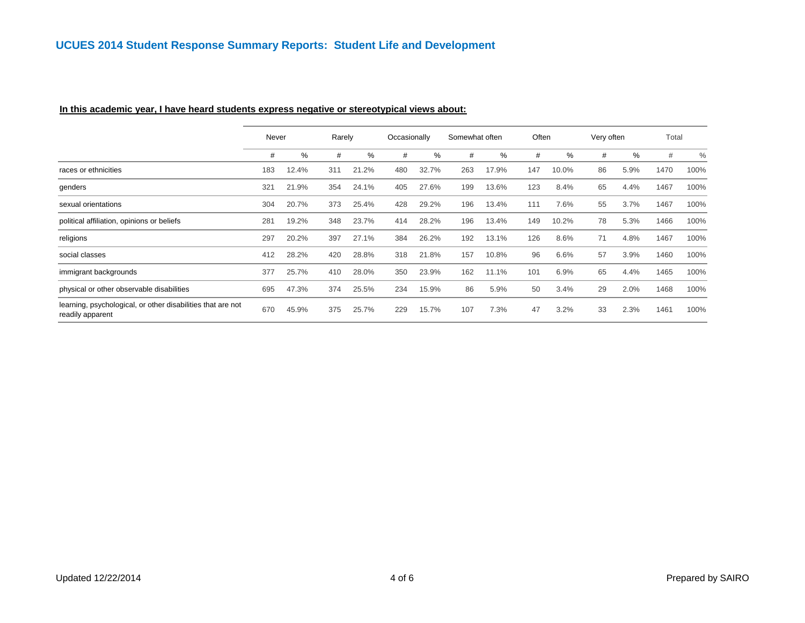#### **In this academic year, I have heard students express negative or stereotypical views about:**

|                                                                                 | Never |       | Rarely |       |     | Occasionally |     | Somewhat often |     | Often |    | Very often |      | Total         |
|---------------------------------------------------------------------------------|-------|-------|--------|-------|-----|--------------|-----|----------------|-----|-------|----|------------|------|---------------|
|                                                                                 | #     | %     | #      | %     | #   | %            | #   | ℅              | #   | %     | #  | %          | #    | $\frac{0}{0}$ |
| races or ethnicities                                                            | 183   | 12.4% | 311    | 21.2% | 480 | 32.7%        | 263 | 17.9%          | 147 | 10.0% | 86 | 5.9%       | 1470 | 100%          |
| genders                                                                         | 321   | 21.9% | 354    | 24.1% | 405 | 27.6%        | 199 | 13.6%          | 123 | 8.4%  | 65 | 4.4%       | 1467 | 100%          |
| sexual orientations                                                             | 304   | 20.7% | 373    | 25.4% | 428 | 29.2%        | 196 | 13.4%          | 111 | 7.6%  | 55 | 3.7%       | 1467 | 100%          |
| political affiliation, opinions or beliefs                                      | 281   | 19.2% | 348    | 23.7% | 414 | 28.2%        | 196 | 13.4%          | 149 | 10.2% | 78 | 5.3%       | 1466 | 100%          |
| religions                                                                       | 297   | 20.2% | 397    | 27.1% | 384 | 26.2%        | 192 | 13.1%          | 126 | 8.6%  | 71 | 4.8%       | 1467 | 100%          |
| social classes                                                                  | 412   | 28.2% | 420    | 28.8% | 318 | 21.8%        | 157 | 10.8%          | 96  | 6.6%  | 57 | 3.9%       | 1460 | 100%          |
| immigrant backgrounds                                                           | 377   | 25.7% | 410    | 28.0% | 350 | 23.9%        | 162 | 11.1%          | 101 | 6.9%  | 65 | 4.4%       | 1465 | 100%          |
| physical or other observable disabilities                                       | 695   | 47.3% | 374    | 25.5% | 234 | 15.9%        | 86  | 5.9%           | 50  | 3.4%  | 29 | 2.0%       | 1468 | 100%          |
| learning, psychological, or other disabilities that are not<br>readily apparent | 670   | 45.9% | 375    | 25.7% | 229 | 15.7%        | 107 | 7.3%           | 47  | 3.2%  | 33 | 2.3%       | 1461 | 100%          |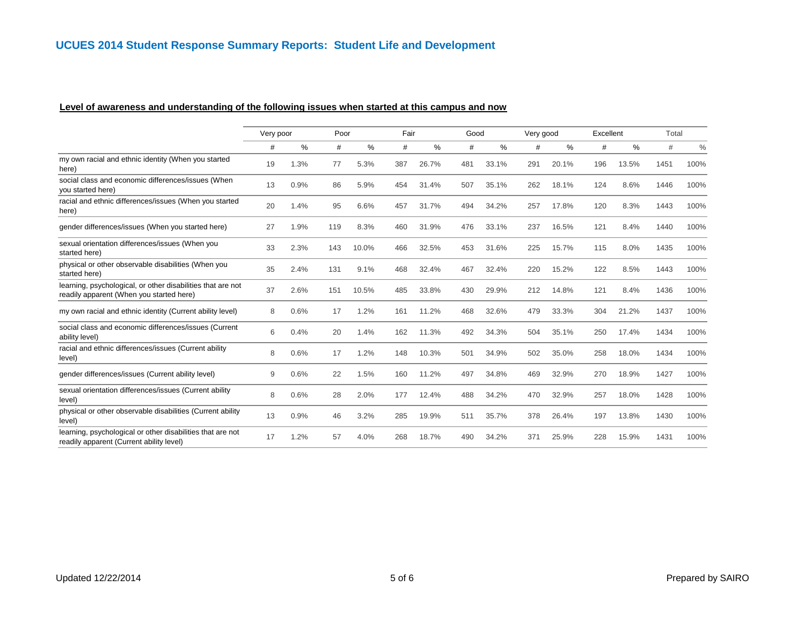### **Level of awareness and understanding of the following issues when started at this campus and now**

|                                                                                                         | Very poor |      | Poor |       | Fair |       | Good |       | Very good |       | Excellent |       | Total |      |
|---------------------------------------------------------------------------------------------------------|-----------|------|------|-------|------|-------|------|-------|-----------|-------|-----------|-------|-------|------|
|                                                                                                         | #         | %    | #    | %     | #    | $\%$  | #    | %     | #         | %     | #         | $\%$  | #     | $\%$ |
| my own racial and ethnic identity (When you started<br>here)                                            | 19        | 1.3% | 77   | 5.3%  | 387  | 26.7% | 481  | 33.1% | 291       | 20.1% | 196       | 13.5% | 1451  | 100% |
| social class and economic differences/issues (When<br>you started here)                                 | 13        | 0.9% | 86   | 5.9%  | 454  | 31.4% | 507  | 35.1% | 262       | 18.1% | 124       | 8.6%  | 1446  | 100% |
| racial and ethnic differences/issues (When you started<br>here)                                         | 20        | 1.4% | 95   | 6.6%  | 457  | 31.7% | 494  | 34.2% | 257       | 17.8% | 120       | 8.3%  | 1443  | 100% |
| gender differences/issues (When you started here)                                                       | 27        | 1.9% | 119  | 8.3%  | 460  | 31.9% | 476  | 33.1% | 237       | 16.5% | 121       | 8.4%  | 1440  | 100% |
| sexual orientation differences/issues (When you<br>started here)                                        | 33        | 2.3% | 143  | 10.0% | 466  | 32.5% | 453  | 31.6% | 225       | 15.7% | 115       | 8.0%  | 1435  | 100% |
| physical or other observable disabilities (When you<br>started here)                                    | 35        | 2.4% | 131  | 9.1%  | 468  | 32.4% | 467  | 32.4% | 220       | 15.2% | 122       | 8.5%  | 1443  | 100% |
| learning, psychological, or other disabilities that are not<br>readily apparent (When you started here) | 37        | 2.6% | 151  | 10.5% | 485  | 33.8% | 430  | 29.9% | 212       | 14.8% | 121       | 8.4%  | 1436  | 100% |
| my own racial and ethnic identity (Current ability level)                                               | 8         | 0.6% | 17   | 1.2%  | 161  | 11.2% | 468  | 32.6% | 479       | 33.3% | 304       | 21.2% | 1437  | 100% |
| social class and economic differences/issues (Current<br>ability level)                                 | 6         | 0.4% | 20   | 1.4%  | 162  | 11.3% | 492  | 34.3% | 504       | 35.1% | 250       | 17.4% | 1434  | 100% |
| racial and ethnic differences/issues (Current ability<br>level)                                         | 8         | 0.6% | 17   | 1.2%  | 148  | 10.3% | 501  | 34.9% | 502       | 35.0% | 258       | 18.0% | 1434  | 100% |
| gender differences/issues (Current ability level)                                                       | 9         | 0.6% | 22   | 1.5%  | 160  | 11.2% | 497  | 34.8% | 469       | 32.9% | 270       | 18.9% | 1427  | 100% |
| sexual orientation differences/issues (Current ability<br>level)                                        | 8         | 0.6% | 28   | 2.0%  | 177  | 12.4% | 488  | 34.2% | 470       | 32.9% | 257       | 18.0% | 1428  | 100% |
| physical or other observable disabilities (Current ability<br>level)                                    | 13        | 0.9% | 46   | 3.2%  | 285  | 19.9% | 511  | 35.7% | 378       | 26.4% | 197       | 13.8% | 1430  | 100% |
| learning, psychological or other disabilities that are not<br>readily apparent (Current ability level)  | 17        | 1.2% | 57   | 4.0%  | 268  | 18.7% | 490  | 34.2% | 371       | 25.9% | 228       | 15.9% | 1431  | 100% |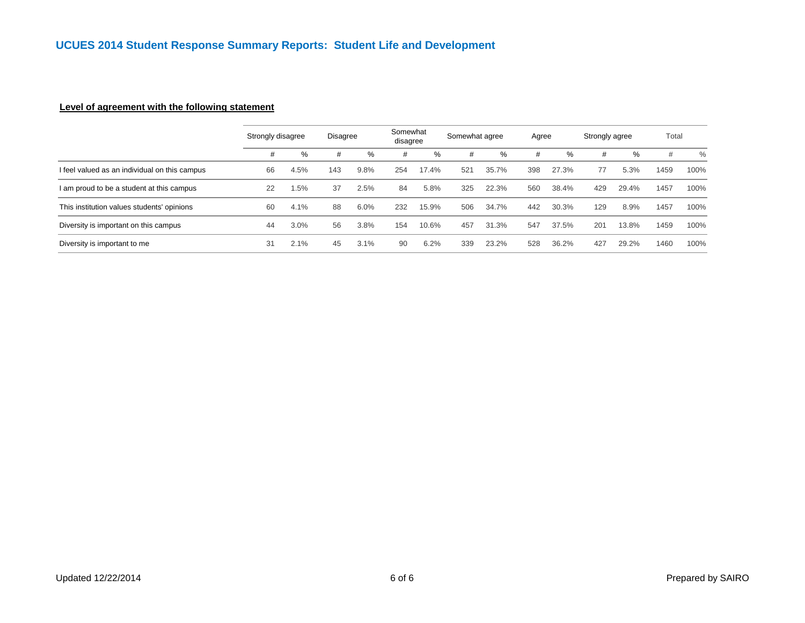### **Level of agreement with the following statement**

|                                               | Strongly disagree |      | Disagree |      | Somewhat<br>disagree |       | Somewhat agree |       | Agree |       | Strongly agree |       | Total |      |
|-----------------------------------------------|-------------------|------|----------|------|----------------------|-------|----------------|-------|-------|-------|----------------|-------|-------|------|
|                                               | #                 | %    | #        | $\%$ | #                    | $\%$  | #              | %     | #     | %     | #              | $\%$  | #     | $\%$ |
| I feel valued as an individual on this campus | 66                | 4.5% | 143      | 9.8% | 254                  | 17.4% | 521            | 35.7% | 398   | 27.3% | 77             | 5.3%  | 1459  | 100% |
| I am proud to be a student at this campus     | 22                | 1.5% | 37       | 2.5% | 84                   | 5.8%  | 325            | 22.3% | 560   | 38.4% | 429            | 29.4% | 1457  | 100% |
| This institution values students' opinions    | 60                | 4.1% | 88       | 6.0% | 232                  | 15.9% | 506            | 34.7% | 442   | 30.3% | 129            | 8.9%  | 1457  | 100% |
| Diversity is important on this campus         | 44                | 3.0% | 56       | 3.8% | 154                  | 10.6% | 457            | 31.3% | 547   | 37.5% | 201            | 13.8% | 1459  | 100% |
| Diversity is important to me                  | 31                | 2.1% | 45       | 3.1% | 90                   | 6.2%  | 339            | 23.2% | 528   | 36.2% | 427            | 29.2% | 1460  | 100% |